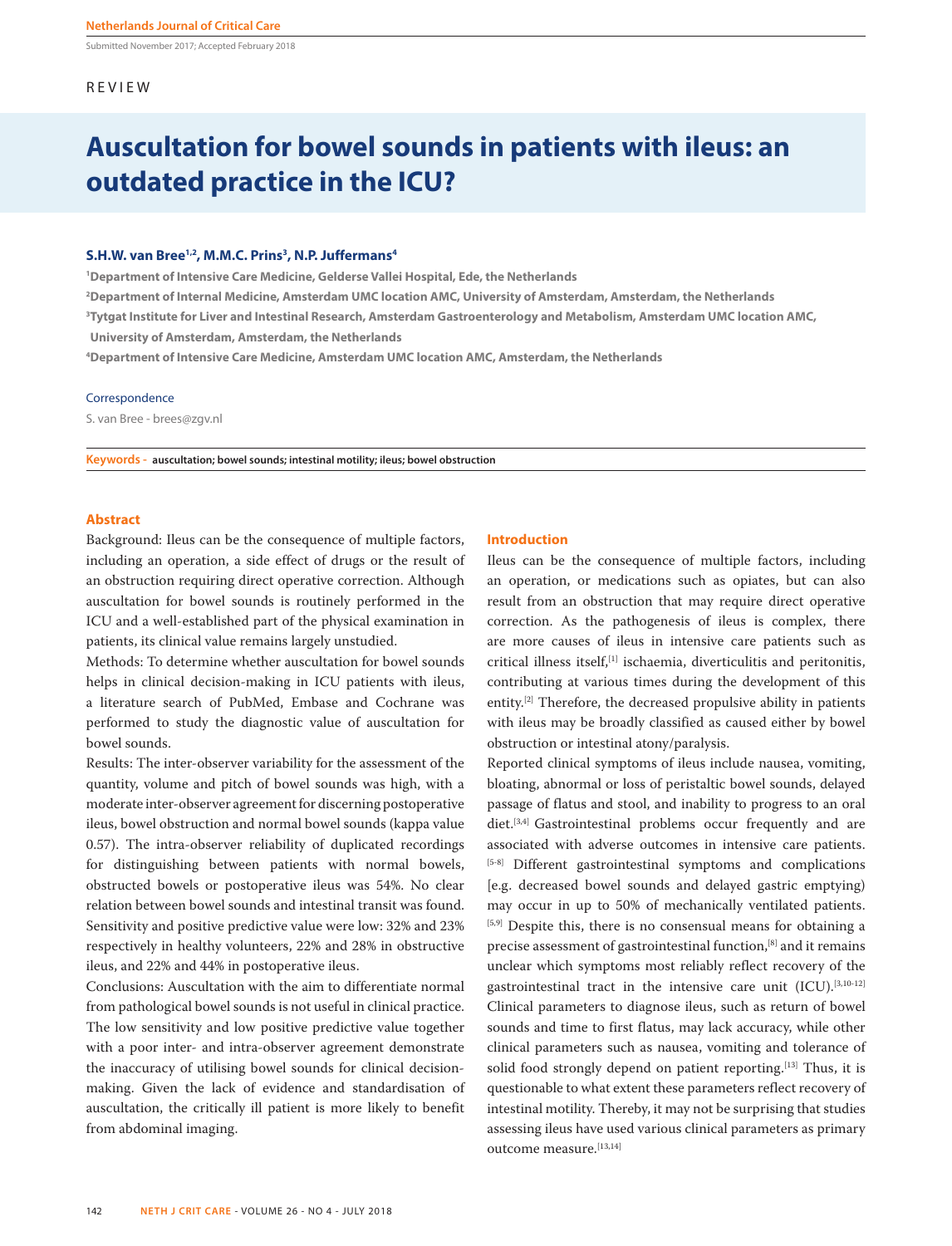Submitted November 2017; Accepted February 2018

## REVIEW

# **Auscultation for bowel sounds in patients with ileus: an outdated practice in the ICU?**

## S.H.W. van Bree<sup>1,2</sup>, M.M.C. Prins<sup>3</sup>, N.P. Juffermans<sup>4</sup>

**1 Department of Intensive Care Medicine, Gelderse Vallei Hospital, Ede, the Netherlands**

**2 Department of Internal Medicine, Amsterdam UMC location AMC, University of Amsterdam, Amsterdam, the Netherlands**

**3 Tytgat Institute for Liver and Intestinal Research, Amsterdam Gastroenterology and Metabolism, Amsterdam UMC location AMC,** 

**University of Amsterdam, Amsterdam, the Netherlands**

**4 Department of Intensive Care Medicine, Amsterdam UMC location AMC, Amsterdam, the Netherlands**

## Correspondence

S. van Bree - brees@zgv.nl

**Keywords - auscultation; bowel sounds; intestinal motility; ileus; bowel obstruction**

## **Abstract**

Background: Ileus can be the consequence of multiple factors, including an operation, a side effect of drugs or the result of an obstruction requiring direct operative correction. Although auscultation for bowel sounds is routinely performed in the ICU and a well-established part of the physical examination in patients, its clinical value remains largely unstudied.

Methods: To determine whether auscultation for bowel sounds helps in clinical decision-making in ICU patients with ileus, a literature search of PubMed, Embase and Cochrane was performed to study the diagnostic value of auscultation for bowel sounds.

Results: The inter-observer variability for the assessment of the quantity, volume and pitch of bowel sounds was high, with a moderate inter-observer agreement for discerning postoperative ileus, bowel obstruction and normal bowel sounds (kappa value 0.57). The intra-observer reliability of duplicated recordings for distinguishing between patients with normal bowels, obstructed bowels or postoperative ileus was 54%. No clear relation between bowel sounds and intestinal transit was found. Sensitivity and positive predictive value were low: 32% and 23% respectively in healthy volunteers, 22% and 28% in obstructive ileus, and 22% and 44% in postoperative ileus.

Conclusions: Auscultation with the aim to differentiate normal from pathological bowel sounds is not useful in clinical practice. The low sensitivity and low positive predictive value together with a poor inter- and intra-observer agreement demonstrate the inaccuracy of utilising bowel sounds for clinical decisionmaking. Given the lack of evidence and standardisation of auscultation, the critically ill patient is more likely to benefit from abdominal imaging.

### **Introduction**

Ileus can be the consequence of multiple factors, including an operation, or medications such as opiates, but can also result from an obstruction that may require direct operative correction. As the pathogenesis of ileus is complex, there are more causes of ileus in intensive care patients such as critical illness itself,[1] ischaemia, diverticulitis and peritonitis, contributing at various times during the development of this entity.[2] Therefore, the decreased propulsive ability in patients with ileus may be broadly classified as caused either by bowel obstruction or intestinal atony/paralysis.

Reported clinical symptoms of ileus include nausea, vomiting, bloating, abnormal or loss of peristaltic bowel sounds, delayed passage of flatus and stool, and inability to progress to an oral diet.<sup>[3,4]</sup> Gastrointestinal problems occur frequently and are associated with adverse outcomes in intensive care patients. [5-8] Different gastrointestinal symptoms and complications [e.g. decreased bowel sounds and delayed gastric emptying) may occur in up to 50% of mechanically ventilated patients. [5,9] Despite this, there is no consensual means for obtaining a precise assessment of gastrointestinal function,<sup>[8]</sup> and it remains unclear which symptoms most reliably reflect recovery of the gastrointestinal tract in the intensive care unit (ICU).<sup>[3,10-12]</sup> Clinical parameters to diagnose ileus, such as return of bowel sounds and time to first flatus, may lack accuracy, while other clinical parameters such as nausea, vomiting and tolerance of solid food strongly depend on patient reporting.<sup>[13]</sup> Thus, it is questionable to what extent these parameters reflect recovery of intestinal motility. Thereby, it may not be surprising that studies assessing ileus have used various clinical parameters as primary outcome measure.[13,14]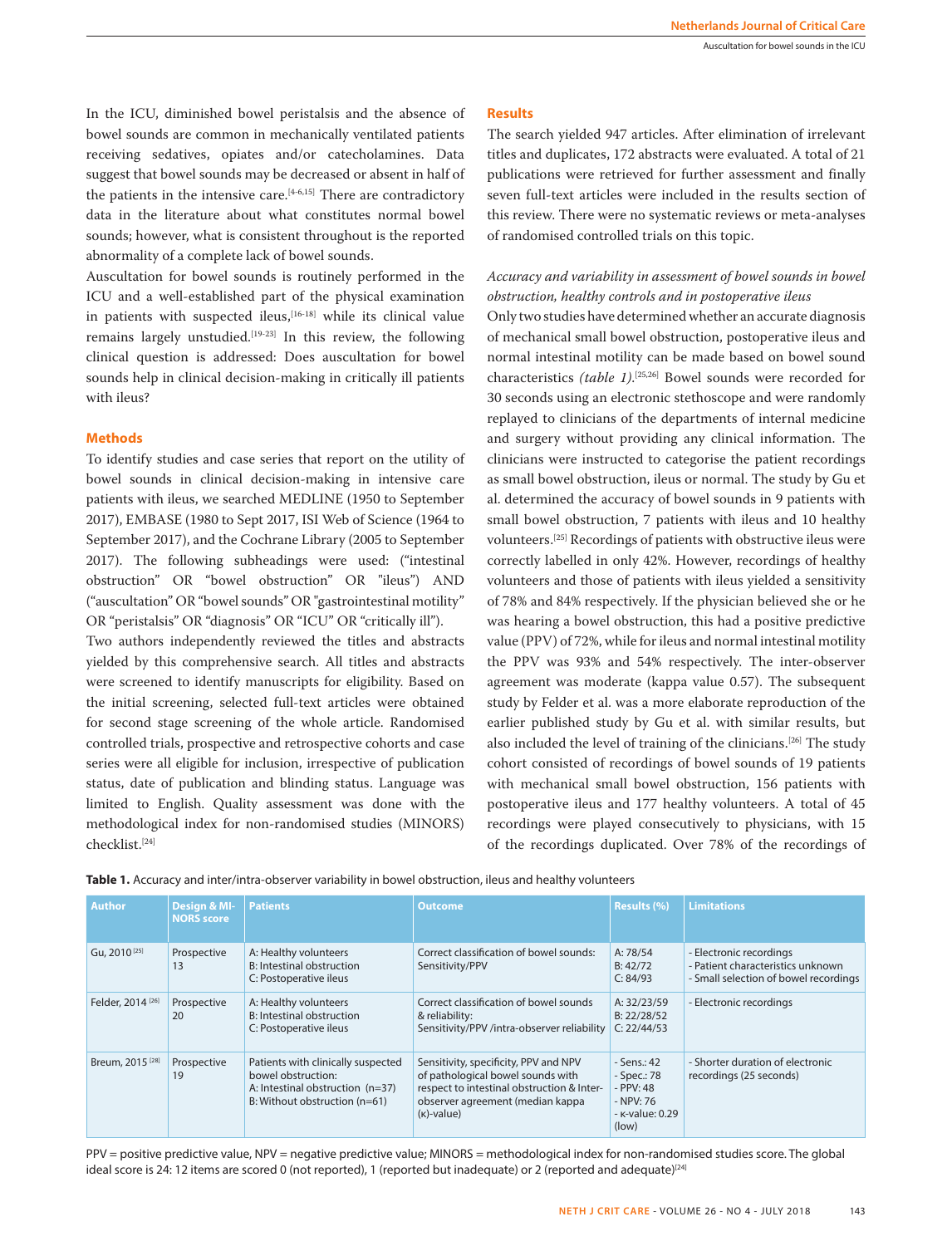In the ICU, diminished bowel peristalsis and the absence of bowel sounds are common in mechanically ventilated patients receiving sedatives, opiates and/or catecholamines. Data suggest that bowel sounds may be decreased or absent in half of the patients in the intensive care. $[4-6,15]$  There are contradictory data in the literature about what constitutes normal bowel sounds; however, what is consistent throughout is the reported abnormality of a complete lack of bowel sounds.

Auscultation for bowel sounds is routinely performed in the ICU and a well-established part of the physical examination in patients with suspected ileus,<sup>[16-18]</sup> while its clinical value remains largely unstudied.<sup>[19-23]</sup> In this review, the following clinical question is addressed: Does auscultation for bowel sounds help in clinical decision-making in critically ill patients with ileus?

## **Methods**

To identify studies and case series that report on the utility of bowel sounds in clinical decision-making in intensive care patients with ileus, we searched MEDLINE (1950 to September 2017), EMBASE (1980 to Sept 2017, ISI Web of Science (1964 to September 2017), and the Cochrane Library (2005 to September 2017). The following subheadings were used: ("intestinal obstruction" OR "bowel obstruction" OR "ileus") AND ("auscultation" OR "bowel sounds" OR "gastrointestinal motility" OR "peristalsis" OR "diagnosis" OR "ICU" OR "critically ill").

Two authors independently reviewed the titles and abstracts yielded by this comprehensive search. All titles and abstracts were screened to identify manuscripts for eligibility. Based on the initial screening, selected full-text articles were obtained for second stage screening of the whole article. Randomised controlled trials, prospective and retrospective cohorts and case series were all eligible for inclusion, irrespective of publication status, date of publication and blinding status. Language was limited to English. Quality assessment was done with the methodological index for non-randomised studies (MINORS) checklist.[24]

## **Results**

The search yielded 947 articles. After elimination of irrelevant titles and duplicates, 172 abstracts were evaluated. A total of 21 publications were retrieved for further assessment and finally seven full-text articles were included in the results section of this review. There were no systematic reviews or meta-analyses of randomised controlled trials on this topic.

## *Accuracy and variability in assessment of bowel sounds in bowel obstruction, healthy controls and in postoperative ileus*

Only two studies have determined whether an accurate diagnosis of mechanical small bowel obstruction, postoperative ileus and normal intestinal motility can be made based on bowel sound characteristics *(table 1)*. [25,26] Bowel sounds were recorded for 30 seconds using an electronic stethoscope and were randomly replayed to clinicians of the departments of internal medicine and surgery without providing any clinical information. The clinicians were instructed to categorise the patient recordings as small bowel obstruction, ileus or normal. The study by Gu et al. determined the accuracy of bowel sounds in 9 patients with small bowel obstruction, 7 patients with ileus and 10 healthy volunteers.[25] Recordings of patients with obstructive ileus were correctly labelled in only 42%. However, recordings of healthy volunteers and those of patients with ileus yielded a sensitivity of 78% and 84% respectively. If the physician believed she or he was hearing a bowel obstruction, this had a positive predictive value (PPV) of 72%, while for ileus and normal intestinal motility the PPV was 93% and 54% respectively. The inter-observer agreement was moderate (kappa value 0.57). The subsequent study by Felder et al. was a more elaborate reproduction of the earlier published study by Gu et al. with similar results, but also included the level of training of the clinicians.<sup>[26]</sup> The study cohort consisted of recordings of bowel sounds of 19 patients with mechanical small bowel obstruction, 156 patients with postoperative ileus and 177 healthy volunteers. A total of 45 recordings were played consecutively to physicians, with 15 of the recordings duplicated. Over 78% of the recordings of

| Table 1. Accuracy and inter/intra-observer variability in bowel obstruction, ileus and healthy volunteers |  |
|-----------------------------------------------------------------------------------------------------------|--|
|-----------------------------------------------------------------------------------------------------------|--|

| <b>Author</b>                | Design & MI-<br><b>NORS</b> score | <b>Patients</b>                                                                                                               | <b>Outcome</b>                                                                                                                                                                | <b>Results (%)</b>                                                               | <b>Limitations</b>                                                                                    |
|------------------------------|-----------------------------------|-------------------------------------------------------------------------------------------------------------------------------|-------------------------------------------------------------------------------------------------------------------------------------------------------------------------------|----------------------------------------------------------------------------------|-------------------------------------------------------------------------------------------------------|
| Gu, 2010 <sup>[25]</sup>     | Prospective<br>13                 | A: Healthy volunteers<br>B: Intestinal obstruction<br>C: Postoperative ileus                                                  | Correct classification of bowel sounds:<br>Sensitivity/PPV                                                                                                                    | A: 78/54<br>B: 42/72<br>C: 84/93                                                 | - Electronic recordings<br>- Patient characteristics unknown<br>- Small selection of bowel recordings |
| Felder, 2014 <sup>[26]</sup> | Prospective<br>20                 | A: Healthy volunteers<br>B: Intestinal obstruction<br>C: Postoperative ileus                                                  | Correct classification of bowel sounds<br>& reliability:<br>Sensitivity/PPV /intra-observer reliability                                                                       | A: 32/23/59<br>B: 22/28/52<br>C: 22/44/53                                        | - Electronic recordings                                                                               |
| Breum, 2015 <sup>[28]</sup>  | Prospective<br>19                 | Patients with clinically suspected<br>bowel obstruction:<br>A: Intestinal obstruction (n=37)<br>B: Without obstruction (n=61) | Sensitivity, specificity, PPV and NPV<br>of pathological bowel sounds with<br>respect to intestinal obstruction & Inter-<br>observer agreement (median kappa<br>$(k)$ -value) | $-Sens: 42$<br>- Spec.: 78<br>- PPV: 48<br>- NPV: 76<br>- к-value: 0.29<br>(low) | - Shorter duration of electronic<br>recordings (25 seconds)                                           |

PPV = positive predictive value, NPV = negative predictive value; MINORS = methodological index for non-randomised studies score. The global ideal score is 24: 12 items are scored 0 (not reported), 1 (reported but inadequate) or 2 (reported and adequate) $[24]$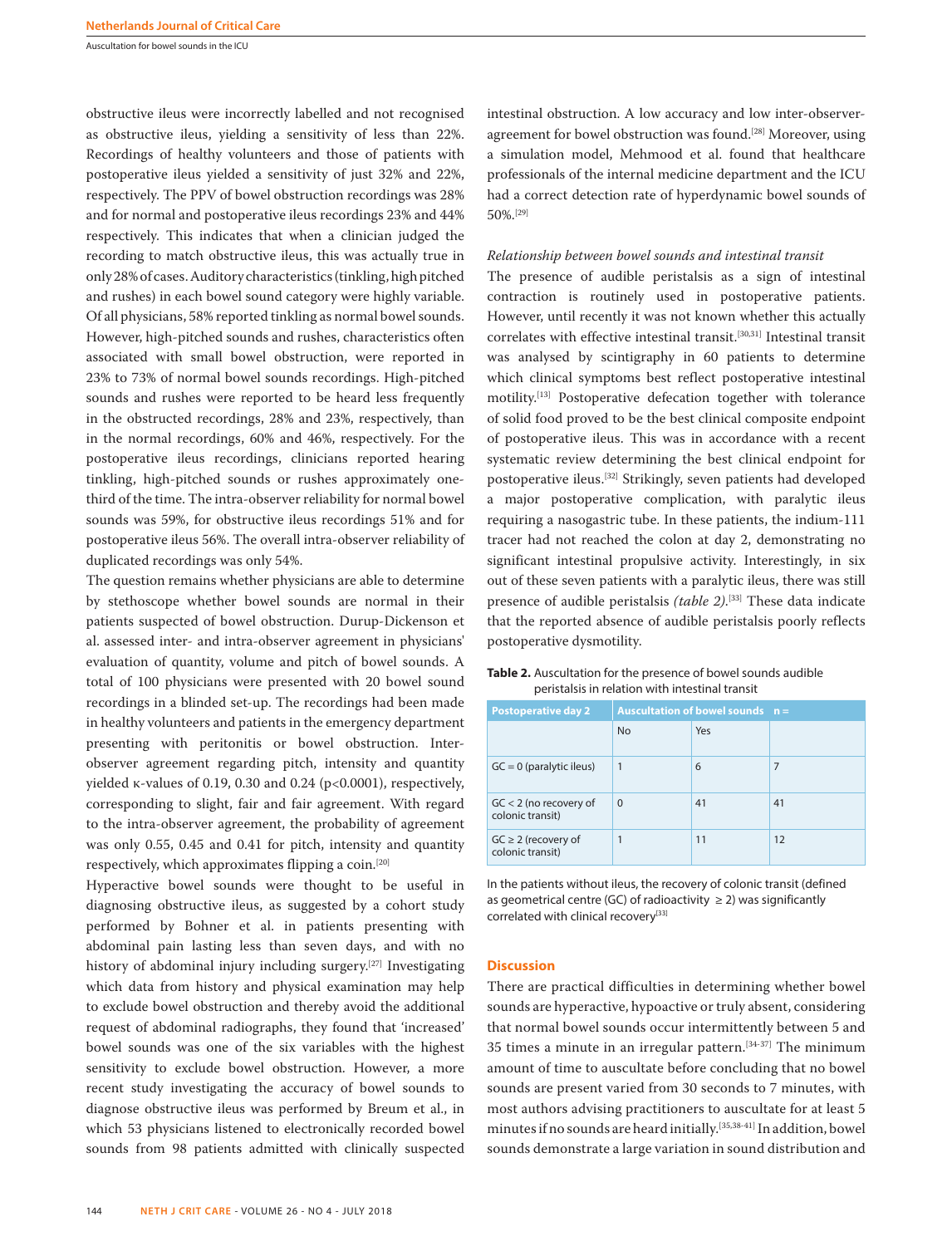Auscultation for bowel sounds in the ICU

obstructive ileus were incorrectly labelled and not recognised as obstructive ileus, yielding a sensitivity of less than 22%. Recordings of healthy volunteers and those of patients with postoperative ileus yielded a sensitivity of just 32% and 22%, respectively. The PPV of bowel obstruction recordings was 28% and for normal and postoperative ileus recordings 23% and 44% respectively. This indicates that when a clinician judged the recording to match obstructive ileus, this was actually true in only 28% of cases. Auditory characteristics (tinkling, high pitched and rushes) in each bowel sound category were highly variable. Of all physicians, 58% reported tinkling as normal bowel sounds. However, high-pitched sounds and rushes, characteristics often associated with small bowel obstruction, were reported in 23% to 73% of normal bowel sounds recordings. High-pitched sounds and rushes were reported to be heard less frequently in the obstructed recordings, 28% and 23%, respectively, than in the normal recordings, 60% and 46%, respectively. For the postoperative ileus recordings, clinicians reported hearing tinkling, high-pitched sounds or rushes approximately onethird of the time. The intra-observer reliability for normal bowel sounds was 59%, for obstructive ileus recordings 51% and for postoperative ileus 56%. The overall intra-observer reliability of duplicated recordings was only 54%.

The question remains whether physicians are able to determine by stethoscope whether bowel sounds are normal in their patients suspected of bowel obstruction. Durup-Dickenson et al. assessed inter- and intra-observer agreement in physicians' evaluation of quantity, volume and pitch of bowel sounds. A total of 100 physicians were presented with 20 bowel sound recordings in a blinded set-up. The recordings had been made in healthy volunteers and patients in the emergency department presenting with peritonitis or bowel obstruction. Interobserver agreement regarding pitch, intensity and quantity yielded κ-values of 0.19, 0.30 and 0.24 (p<0.0001), respectively, corresponding to slight, fair and fair agreement. With regard to the intra-observer agreement, the probability of agreement was only 0.55, 0.45 and 0.41 for pitch, intensity and quantity respectively, which approximates flipping a coin.[20]

Hyperactive bowel sounds were thought to be useful in diagnosing obstructive ileus, as suggested by a cohort study performed by Bohner et al. in patients presenting with abdominal pain lasting less than seven days, and with no history of abdominal injury including surgery.<sup>[27]</sup> Investigating which data from history and physical examination may help to exclude bowel obstruction and thereby avoid the additional request of abdominal radiographs, they found that 'increased' bowel sounds was one of the six variables with the highest sensitivity to exclude bowel obstruction. However, a more recent study investigating the accuracy of bowel sounds to diagnose obstructive ileus was performed by Breum et al., in which 53 physicians listened to electronically recorded bowel sounds from 98 patients admitted with clinically suspected

144 **NETH J CRIT CARE** - VOLUME 26 - NO 4 - JULY 2018

intestinal obstruction. A low accuracy and low inter-observeragreement for bowel obstruction was found.[28] Moreover, using a simulation model, Mehmood et al. found that healthcare professionals of the internal medicine department and the ICU had a correct detection rate of hyperdynamic bowel sounds of 50%.[29]

### *Relationship between bowel sounds and intestinal transit*

The presence of audible peristalsis as a sign of intestinal contraction is routinely used in postoperative patients. However, until recently it was not known whether this actually correlates with effective intestinal transit.[30,31] Intestinal transit was analysed by scintigraphy in 60 patients to determine which clinical symptoms best reflect postoperative intestinal motility.[13] Postoperative defecation together with tolerance of solid food proved to be the best clinical composite endpoint of postoperative ileus. This was in accordance with a recent systematic review determining the best clinical endpoint for postoperative ileus.[32] Strikingly, seven patients had developed a major postoperative complication, with paralytic ileus requiring a nasogastric tube. In these patients, the indium-111 tracer had not reached the colon at day 2, demonstrating no significant intestinal propulsive activity. Interestingly, in six out of these seven patients with a paralytic ileus, there was still presence of audible peristalsis *(table 2)*. [33] These data indicate that the reported absence of audible peristalsis poorly reflects postoperative dysmotility.

| <b>Postoperative day 2</b>                   | Auscultation of bowel sounds $n =$ |     |    |
|----------------------------------------------|------------------------------------|-----|----|
|                                              | <b>No</b>                          | Yes |    |
| $GC = 0$ (paralytic ileus)                   | $\mathbf{1}$                       | 6   |    |
| $GC < 2$ (no recovery of<br>colonic transit) | $\Omega$                           | 41  | 41 |
| $GC \geq 2$ (recovery of<br>colonic transit) |                                    | 11  | 12 |

## **Table 2.** Auscultation for the presence of bowel sounds audible peristalsis in relation with intestinal transit

In the patients without ileus, the recovery of colonic transit (defined as geometrical centre (GC) of radioactivity  $\geq$  2) was significantly correlated with clinical recovery<sup>[33]</sup>

## **Discussion**

There are practical difficulties in determining whether bowel sounds are hyperactive, hypoactive or truly absent, considering that normal bowel sounds occur intermittently between 5 and 35 times a minute in an irregular pattern.<sup>[34-37]</sup> The minimum amount of time to auscultate before concluding that no bowel sounds are present varied from 30 seconds to 7 minutes, with most authors advising practitioners to auscultate for at least 5 minutes if no sounds are heard initially.[35,38-41] In addition, bowel sounds demonstrate a large variation in sound distribution and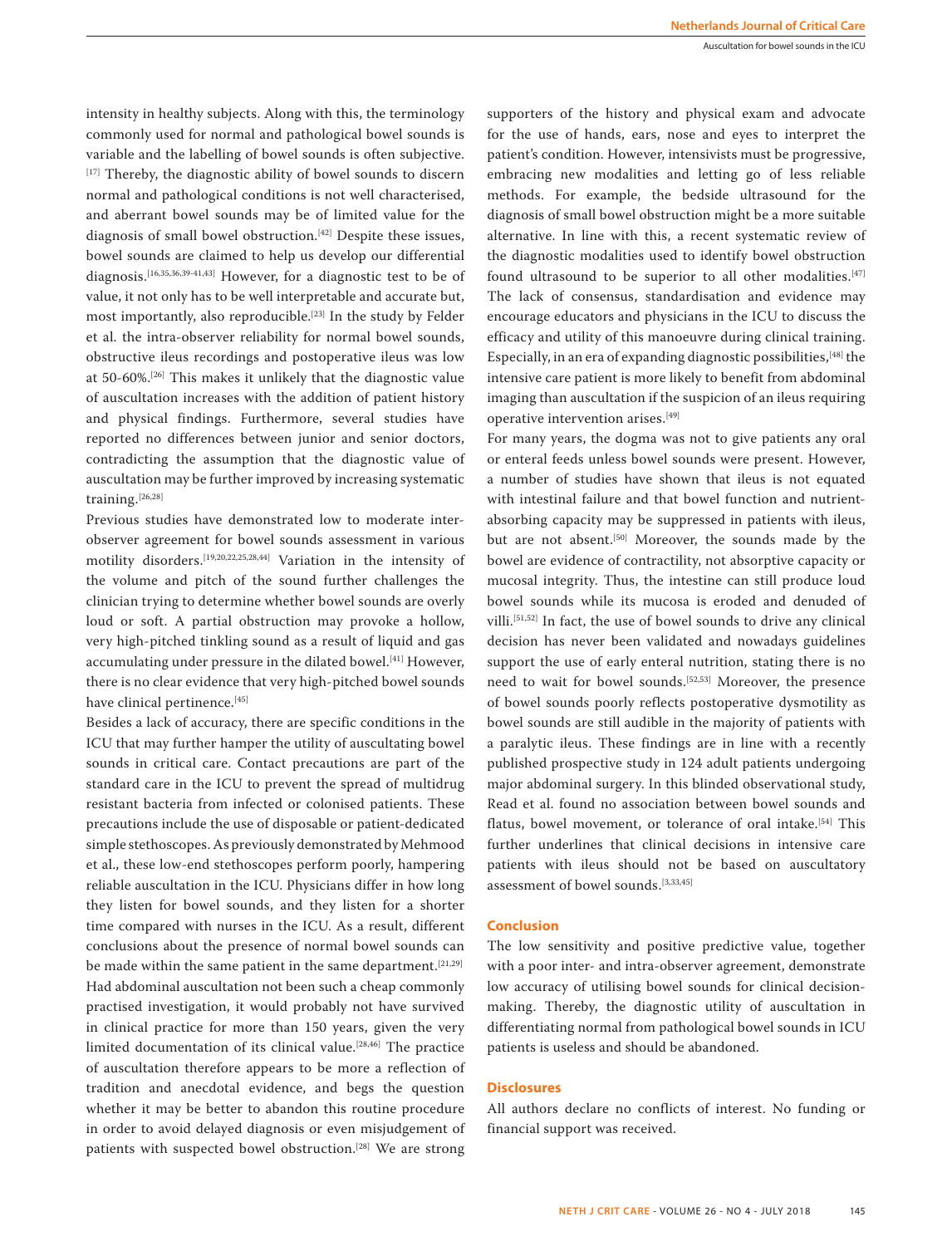intensity in healthy subjects. Along with this, the terminology commonly used for normal and pathological bowel sounds is variable and the labelling of bowel sounds is often subjective. [17] Thereby, the diagnostic ability of bowel sounds to discern normal and pathological conditions is not well characterised, and aberrant bowel sounds may be of limited value for the diagnosis of small bowel obstruction.<sup>[42]</sup> Despite these issues, bowel sounds are claimed to help us develop our differential diagnosis.[16,35,36,39-41,43] However, for a diagnostic test to be of value, it not only has to be well interpretable and accurate but, most importantly, also reproducible.[23] In the study by Felder et al. the intra-observer reliability for normal bowel sounds, obstructive ileus recordings and postoperative ileus was low at 50-60%.[26] This makes it unlikely that the diagnostic value of auscultation increases with the addition of patient history and physical findings. Furthermore, several studies have reported no differences between junior and senior doctors, contradicting the assumption that the diagnostic value of auscultation may be further improved by increasing systematic training.[26,28]

Previous studies have demonstrated low to moderate interobserver agreement for bowel sounds assessment in various motility disorders.[19,20,22,25,28,44] Variation in the intensity of the volume and pitch of the sound further challenges the clinician trying to determine whether bowel sounds are overly loud or soft. A partial obstruction may provoke a hollow, very high-pitched tinkling sound as a result of liquid and gas accumulating under pressure in the dilated bowel.<sup>[41]</sup> However, there is no clear evidence that very high-pitched bowel sounds have clinical pertinence.<sup>[45]</sup>

Besides a lack of accuracy, there are specific conditions in the ICU that may further hamper the utility of auscultating bowel sounds in critical care. Contact precautions are part of the standard care in the ICU to prevent the spread of multidrug resistant bacteria from infected or colonised patients. These precautions include the use of disposable or patient-dedicated simple stethoscopes. As previously demonstrated by Mehmood et al., these low-end stethoscopes perform poorly, hampering reliable auscultation in the ICU. Physicians differ in how long they listen for bowel sounds, and they listen for a shorter time compared with nurses in the ICU. As a result, different conclusions about the presence of normal bowel sounds can be made within the same patient in the same department.<sup>[21,29]</sup> Had abdominal auscultation not been such a cheap commonly practised investigation, it would probably not have survived in clinical practice for more than 150 years, given the very limited documentation of its clinical value.[28,46] The practice of auscultation therefore appears to be more a reflection of tradition and anecdotal evidence, and begs the question whether it may be better to abandon this routine procedure in order to avoid delayed diagnosis or even misjudgement of patients with suspected bowel obstruction.<sup>[28]</sup> We are strong

supporters of the history and physical exam and advocate for the use of hands, ears, nose and eyes to interpret the patient's condition. However, intensivists must be progressive, embracing new modalities and letting go of less reliable methods. For example, the bedside ultrasound for the diagnosis of small bowel obstruction might be a more suitable alternative. In line with this, a recent systematic review of the diagnostic modalities used to identify bowel obstruction found ultrasound to be superior to all other modalities.<sup>[47]</sup> The lack of consensus, standardisation and evidence may encourage educators and physicians in the ICU to discuss the efficacy and utility of this manoeuvre during clinical training. Especially, in an era of expanding diagnostic possibilities,[48] the intensive care patient is more likely to benefit from abdominal imaging than auscultation if the suspicion of an ileus requiring operative intervention arises.[49]

For many years, the dogma was not to give patients any oral or enteral feeds unless bowel sounds were present. However, a number of studies have shown that ileus is not equated with intestinal failure and that bowel function and nutrientabsorbing capacity may be suppressed in patients with ileus, but are not absent.<sup>[50]</sup> Moreover, the sounds made by the bowel are evidence of contractility, not absorptive capacity or mucosal integrity. Thus, the intestine can still produce loud bowel sounds while its mucosa is eroded and denuded of villi.[51,52] In fact, the use of bowel sounds to drive any clinical decision has never been validated and nowadays guidelines support the use of early enteral nutrition, stating there is no need to wait for bowel sounds.<sup>[52,53]</sup> Moreover, the presence of bowel sounds poorly reflects postoperative dysmotility as bowel sounds are still audible in the majority of patients with a paralytic ileus. These findings are in line with a recently published prospective study in 124 adult patients undergoing major abdominal surgery. In this blinded observational study, Read et al. found no association between bowel sounds and flatus, bowel movement, or tolerance of oral intake.<sup>[54]</sup> This further underlines that clinical decisions in intensive care patients with ileus should not be based on auscultatory assessment of bowel sounds.[3,33,45]

## **Conclusion**

The low sensitivity and positive predictive value, together with a poor inter- and intra-observer agreement, demonstrate low accuracy of utilising bowel sounds for clinical decisionmaking. Thereby, the diagnostic utility of auscultation in differentiating normal from pathological bowel sounds in ICU patients is useless and should be abandoned.

## **Disclosures**

All authors declare no conflicts of interest. No funding or financial support was received.